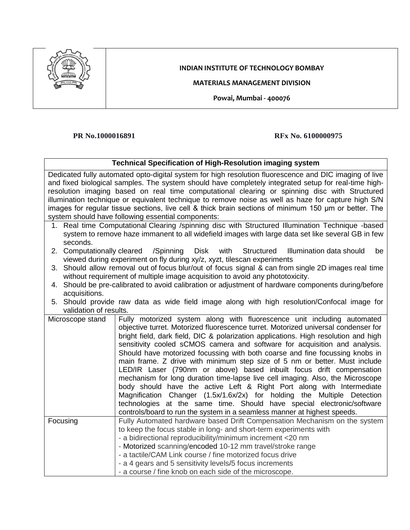

## **INDIAN INSTITUTE OF TECHNOLOGY BOMBAY**

**MATERIALS MANAGEMENT DIVISION**

**Powai, Mumbai - 400076**

## **PR No.1000016891 RFx No. 6100000975**

| <b>Technical Specification of High-Resolution imaging system</b>                                       |                                                                                                       |  |
|--------------------------------------------------------------------------------------------------------|-------------------------------------------------------------------------------------------------------|--|
| Dedicated fully automated opto-digital system for high resolution fluorescence and DIC imaging of live |                                                                                                       |  |
|                                                                                                        | and fixed biological samples. The system should have completely integrated setup for real-time high-  |  |
| resolution imaging based on real time computational clearing or spinning disc with Structured          |                                                                                                       |  |
| illumination technique or equivalent technique to remove noise as well as haze for capture high S/N    |                                                                                                       |  |
|                                                                                                        | images for regular tissue sections, live cell & thick brain sections of minimum 150 µm or better. The |  |
| system should have following essential components:                                                     |                                                                                                       |  |
|                                                                                                        | 1. Real time Computational Clearing /spinning disc with Structured Illumination Technique -based      |  |
|                                                                                                        | system to remove haze immanent to all widefield images with large data set like several GB in few     |  |
| seconds.                                                                                               |                                                                                                       |  |
| 2. Computationally cleared                                                                             | /Spinning<br>Disk with Structured<br>Illumination data should<br>be                                   |  |
|                                                                                                        | viewed during experiment on fly during xy/z, xyzt, tilescan experiments                               |  |
|                                                                                                        | 3. Should allow removal out of focus blur/out of focus signal & can from single 2D images real time   |  |
|                                                                                                        | without requirement of multiple image acquisition to avoid any phototoxicity.                         |  |
|                                                                                                        | 4. Should be pre-calibrated to avoid calibration or adjustment of hardware components during/before   |  |
| acquisitions.                                                                                          |                                                                                                       |  |
|                                                                                                        | 5. Should provide raw data as wide field image along with high resolution/Confocal image for          |  |
| validation of results.                                                                                 |                                                                                                       |  |
| Microscope stand                                                                                       | Fully motorized system along with fluorescence unit including automated                               |  |
|                                                                                                        | objective turret. Motorized fluorescence turret. Motorized universal condenser for                    |  |
|                                                                                                        | bright field, dark field, DIC & polarization applications. High resolution and high                   |  |
|                                                                                                        | sensitivity cooled sCMOS camera and software for acquisition and analysis.                            |  |
|                                                                                                        | Should have motorized focussing with both coarse and fine focussing knobs in                          |  |
|                                                                                                        | main frame. Z drive with minimum step size of 5 nm or better. Must include                            |  |
|                                                                                                        | LED/IR Laser (790nm or above) based inbuilt focus drift compensation                                  |  |
|                                                                                                        | mechanism for long duration time-lapse live cell imaging. Also, the Microscope                        |  |
|                                                                                                        | body should have the active Left & Right Port along with Intermediate                                 |  |
|                                                                                                        | Magnification Changer (1.5x/1.6x/2x) for holding the Multiple Detection                               |  |
|                                                                                                        | technologies at the same time. Should have special electronic/software                                |  |
|                                                                                                        | controls/board to run the system in a seamless manner at highest speeds.                              |  |
| Focusing                                                                                               | Fully Automated hardware based Drift Compensation Mechanism on the system                             |  |
|                                                                                                        | to keep the focus stable in long- and short-term experiments with                                     |  |
|                                                                                                        | - a bidirectional reproducibility/minimum increment <20 nm                                            |  |
|                                                                                                        | - Motorized scanning/encoded 10-12 mm travel/stroke range                                             |  |
|                                                                                                        | - a tactile/CAM Link course / fine motorized focus drive                                              |  |
|                                                                                                        | - a 4 gears and 5 sensitivity levels/5 focus increments                                               |  |
|                                                                                                        | - a course / fine knob on each side of the microscope.                                                |  |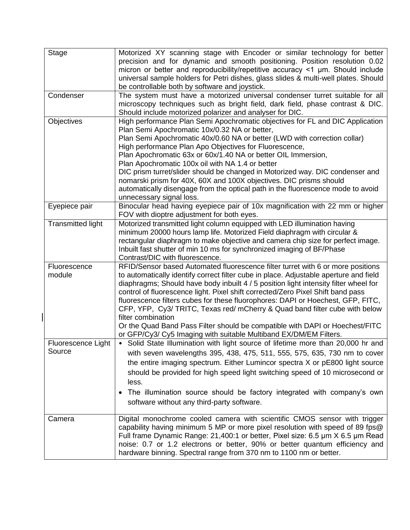| <b>Stage</b>              | Motorized XY scanning stage with Encoder or similar technology for better             |
|---------------------------|---------------------------------------------------------------------------------------|
|                           | precision and for dynamic and smooth positioning. Position resolution 0.02            |
|                           | micron or better and reproducibility/repetitive accuracy <1 um. Should include        |
|                           | universal sample holders for Petri dishes, glass slides & multi-well plates. Should   |
|                           |                                                                                       |
| Condenser                 | be controllable both by software and joystick.                                        |
|                           | The system must have a motorized universal condenser turret suitable for all          |
|                           | microscopy techniques such as bright field, dark field, phase contrast & DIC.         |
|                           | Should include motorized polarizer and analyser for DIC.                              |
| Objectives                | High performance Plan Semi Apochromatic objectives for FL and DIC Application         |
|                           | Plan Semi Apochromatic 10x/0.32 NA or better,                                         |
|                           | Plan Semi Apochromatic 40x/0.60 NA or better (LWD with correction collar)             |
|                           | High performance Plan Apo Objectives for Fluorescence,                                |
|                           | Plan Apochromatic 63x or 60x/1.40 NA or better OIL Immersion,                         |
|                           | Plan Apochromatic 100x oil with NA 1.4 or better                                      |
|                           | DIC prism turret/slider should be changed in Motorized way. DIC condenser and         |
|                           | nomarski prism for 40X, 60X and 100X objectives. DIC prisms should                    |
|                           | automatically disengage from the optical path in the fluorescence mode to avoid       |
|                           | unnecessary signal loss.                                                              |
| Eyepiece pair             | Binocular head having eyepiece pair of 10x magnification with 22 mm or higher         |
|                           | FOV with dioptre adjustment for both eyes.                                            |
| <b>Transmitted light</b>  | Motorized transmitted light column equipped with LED illumination having              |
|                           | minimum 20000 hours lamp life. Motorized Field diaphragm with circular &              |
|                           | rectangular diaphragm to make objective and camera chip size for perfect image.       |
|                           | Inbuilt fast shutter of min 10 ms for synchronized imaging of BF/Phase                |
|                           | Contrast/DIC with fluorescence.                                                       |
| Fluorescence              | RFID/Sensor based Automated fluorescence filter turret with 6 or more positions       |
| module                    | to automatically identify correct filter cube in place. Adjustable aperture and field |
|                           | diaphragms; Should have body inbuilt 4 / 5 position light intensity filter wheel for  |
|                           | control of fluorescence light. Pixel shift corrected/Zero Pixel Shift band pass       |
|                           | fluorescence filters cubes for these fluorophores: DAPI or Hoechest, GFP, FITC,       |
|                           | CFP, YFP, Cy3/ TRITC, Texas red/ mCherry & Quad band filter cube with below           |
|                           | filter combination                                                                    |
|                           | Or the Quad Band Pass Filter should be compatible with DAPI or Hoechest/FITC          |
|                           | or GFP/Cy3/ Cy5 Imaging with suitable Multiband EX/DM/EM Filters.                     |
| <b>Fluorescence Light</b> | • Solid State Illumination with light source of lifetime more than 20,000 hr and      |
| Source                    |                                                                                       |
|                           | with seven wavelengths 395, 438, 475, 511, 555, 575, 635, 730 nm to cover             |
|                           | the entire imaging spectrum. Either Lumincor spectra X or pE800 light source          |
|                           | should be provided for high speed light switching speed of 10 microsecond or          |
|                           | less.                                                                                 |
|                           | The illumination source should be factory integrated with company's own               |
|                           | software without any third-party software.                                            |
|                           |                                                                                       |
| Camera                    | Digital monochrome cooled camera with scientific CMOS sensor with trigger             |
|                           |                                                                                       |
|                           | capability having minimum 5 MP or more pixel resolution with speed of 89 fps@         |
|                           | Full frame Dynamic Range: 21,400:1 or better, Pixel size: 6.5 µm X 6.5 µm Read        |
|                           | noise: 0.7 or 1.2 electrons or better, 90% or better quantum efficiency and           |
|                           | hardware binning. Spectral range from 370 nm to 1100 nm or better.                    |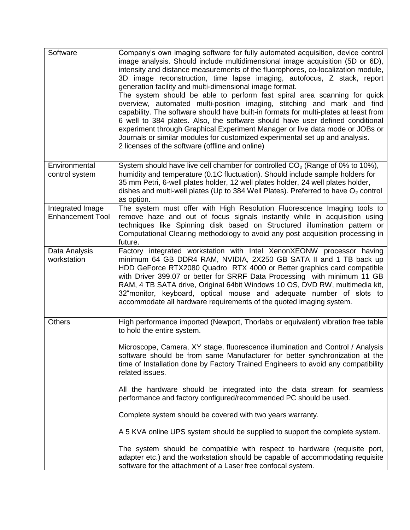| Software                                    | Company's own imaging software for fully automated acquisition, device control<br>image analysis. Should include multidimensional image acquisition (5D or 6D),<br>intensity and distance measurements of the fluorophores, co-localization module,<br>3D image reconstruction, time lapse imaging, autofocus, Z stack, report<br>generation facility and multi-dimensional image format.<br>The system should be able to perform fast spiral area scanning for quick<br>overview, automated multi-position imaging, stitching and mark and find<br>capability. The software should have built-in formats for multi-plates at least from<br>6 well to 384 plates. Also, the software should have user defined conditional<br>experiment through Graphical Experiment Manager or live data mode or JOBs or<br>Journals or similar modules for customized experimental set up and analysis.<br>2 licenses of the software (offline and online) |
|---------------------------------------------|----------------------------------------------------------------------------------------------------------------------------------------------------------------------------------------------------------------------------------------------------------------------------------------------------------------------------------------------------------------------------------------------------------------------------------------------------------------------------------------------------------------------------------------------------------------------------------------------------------------------------------------------------------------------------------------------------------------------------------------------------------------------------------------------------------------------------------------------------------------------------------------------------------------------------------------------|
| Environmental<br>control system             | System should have live cell chamber for controlled $CO2$ (Range of 0% to 10%),<br>humidity and temperature (0.1C fluctuation). Should include sample holders for<br>35 mm Petri, 6-well plates holder, 12 well plates holder, 24 well plates holder,<br>dishes and multi-well plates (Up to 384 Well Plates). Preferred to have $O_2$ control<br>as option.                                                                                                                                                                                                                                                                                                                                                                                                                                                                                                                                                                                 |
| Integrated Image<br><b>Enhancement Tool</b> | The system must offer with High Resolution Fluorescence Imaging tools to<br>remove haze and out of focus signals instantly while in acquisition using<br>techniques like Spinning disk based on Structured illumination pattern or<br>Computational Clearing methodology to avoid any post acquisition processing in<br>future.                                                                                                                                                                                                                                                                                                                                                                                                                                                                                                                                                                                                              |
| Data Analysis<br>workstation                | Factory integrated workstation with Intel XenonXEONW processor having<br>minimum 64 GB DDR4 RAM, NVIDIA, 2X250 GB SATA II and 1 TB back up<br>HDD GeForce RTX2080 Quadro RTX 4000 or Better graphics card compatible<br>with Driver 399.07 or better for SRRF Data Processing with minimum 11 GB<br>RAM, 4 TB SATA drive, Original 64bit Windows 10 OS, DVD RW, multimedia kit,<br>32"monitor, keyboard, optical mouse and adequate number of slots to<br>accommodate all hardware requirements of the quoted imaging system.                                                                                                                                                                                                                                                                                                                                                                                                                |
| <b>Others</b>                               | High performance imported (Newport, Thorlabs or equivalent) vibration free table<br>to hold the entire system.                                                                                                                                                                                                                                                                                                                                                                                                                                                                                                                                                                                                                                                                                                                                                                                                                               |
|                                             | Microscope, Camera, XY stage, fluorescence illumination and Control / Analysis<br>software should be from same Manufacturer for better synchronization at the<br>time of Installation done by Factory Trained Engineers to avoid any compatibility<br>related issues.                                                                                                                                                                                                                                                                                                                                                                                                                                                                                                                                                                                                                                                                        |
|                                             | All the hardware should be integrated into the data stream for seamless<br>performance and factory configured/recommended PC should be used.                                                                                                                                                                                                                                                                                                                                                                                                                                                                                                                                                                                                                                                                                                                                                                                                 |
|                                             | Complete system should be covered with two years warranty.                                                                                                                                                                                                                                                                                                                                                                                                                                                                                                                                                                                                                                                                                                                                                                                                                                                                                   |
|                                             | A 5 KVA online UPS system should be supplied to support the complete system.                                                                                                                                                                                                                                                                                                                                                                                                                                                                                                                                                                                                                                                                                                                                                                                                                                                                 |
|                                             | The system should be compatible with respect to hardware (requisite port,<br>adapter etc.) and the workstation should be capable of accommodating requisite<br>software for the attachment of a Laser free confocal system.                                                                                                                                                                                                                                                                                                                                                                                                                                                                                                                                                                                                                                                                                                                  |